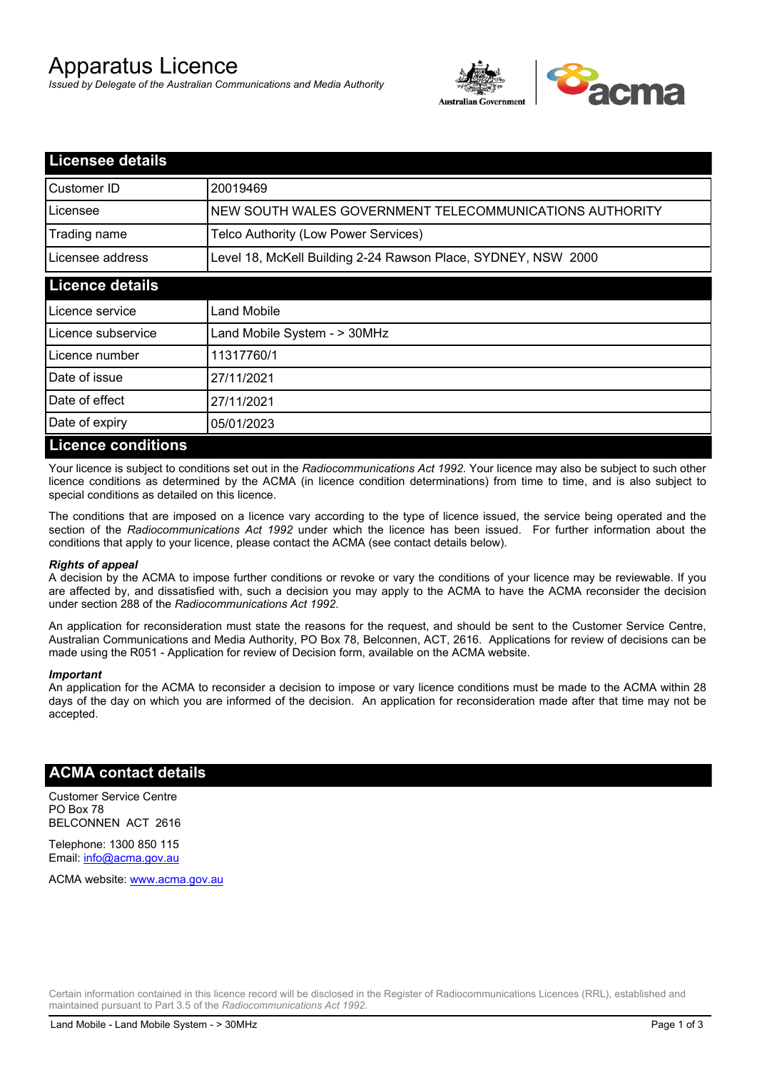# Apparatus Licence

*Issued by Delegate of the Australian Communications and Media Authority*



| <b>Licensee details</b>   |                                                               |  |  |
|---------------------------|---------------------------------------------------------------|--|--|
| Customer ID               | 20019469                                                      |  |  |
| Licensee                  | NEW SOUTH WALES GOVERNMENT TELECOMMUNICATIONS AUTHORITY       |  |  |
| Trading name              | Telco Authority (Low Power Services)                          |  |  |
| Licensee address          | Level 18, McKell Building 2-24 Rawson Place, SYDNEY, NSW 2000 |  |  |
| <b>Licence details</b>    |                                                               |  |  |
| Licence service           | Land Mobile                                                   |  |  |
| Licence subservice        | Land Mobile System - > 30MHz                                  |  |  |
| Licence number            | 11317760/1                                                    |  |  |
| Date of issue             | 27/11/2021                                                    |  |  |
| Date of effect            | 27/11/2021                                                    |  |  |
| Date of expiry            | 05/01/2023                                                    |  |  |
| <b>Licence conditions</b> |                                                               |  |  |

Your licence is subject to conditions set out in the *Radiocommunications Act 1992*. Your licence may also be subject to such other licence conditions as determined by the ACMA (in licence condition determinations) from time to time, and is also subject to special conditions as detailed on this licence.

The conditions that are imposed on a licence vary according to the type of licence issued, the service being operated and the section of the *Radiocommunications Act 1992* under which the licence has been issued. For further information about the conditions that apply to your licence, please contact the ACMA (see contact details below).

### *Rights of appeal*

A decision by the ACMA to impose further conditions or revoke or vary the conditions of your licence may be reviewable. If you are affected by, and dissatisfied with, such a decision you may apply to the ACMA to have the ACMA reconsider the decision under section 288 of the *Radiocommunications Act 1992*.

An application for reconsideration must state the reasons for the request, and should be sent to the Customer Service Centre, Australian Communications and Media Authority, PO Box 78, Belconnen, ACT, 2616. Applications for review of decisions can be made using the R051 - Application for review of Decision form, available on the ACMA website.

#### *Important*

An application for the ACMA to reconsider a decision to impose or vary licence conditions must be made to the ACMA within 28 days of the day on which you are informed of the decision. An application for reconsideration made after that time may not be accepted.

## **ACMA contact details**

Customer Service Centre PO Box 78 BELCONNEN ACT 2616

Telephone: 1300 850 115 Email: info@acma.gov.au

ACMA website: www.acma.gov.au

Certain information contained in this licence record will be disclosed in the Register of Radiocommunications Licences (RRL), established and maintained pursuant to Part 3.5 of the *Radiocommunications Act 1992.*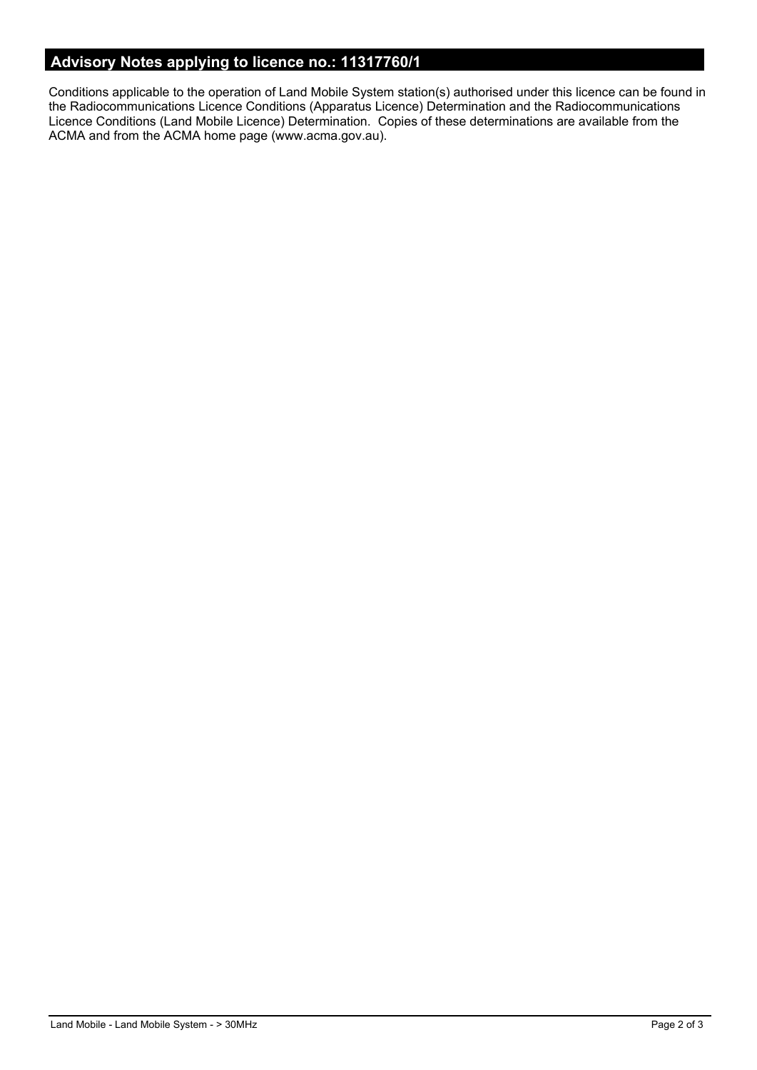# **Advisory Notes applying to licence no.: 11317760/1**

Conditions applicable to the operation of Land Mobile System station(s) authorised under this licence can be found in the Radiocommunications Licence Conditions (Apparatus Licence) Determination and the Radiocommunications Licence Conditions (Land Mobile Licence) Determination. Copies of these determinations are available from the ACMA and from the ACMA home page (www.acma.gov.au).